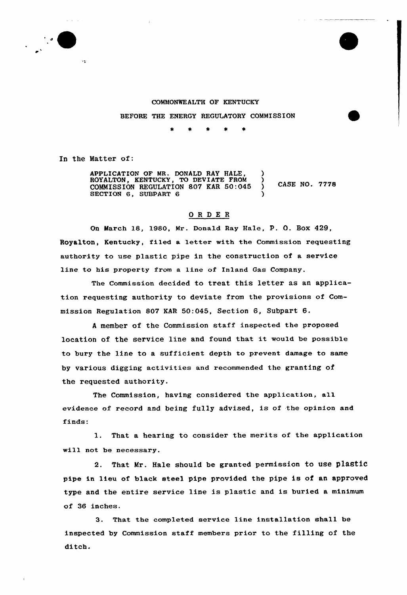

## COMMONWE ALTH OF KENTUCKY

BEFORE THE ENERGY REGULATORY COMMISSION

In the Matter of:

APPLICATION OF MR. DONALD RAY HALE, ROYALTON, KENTUCKY, TO DEVIATE FROM ) COMMISSION REGULATION 807 KAR 50:045 ) **CASE NO. 7778** SECTION 6, SUBPART 6 )

## ORDER

On March 18, 1980, Mx. Donald Ray Hale, p. O. BoX 429, Royalton, Kentucky, filed a letter with the Commission requesting authority to use plastic pipe in the construction of a service line to his property from a line of Inland Gas Company.

The Commission decided to treat this letter as an application requesting authority to deviate from the provisions of Commission Regulation 807 KAR 50:045, Section 6, Subpart 6.

<sup>A</sup> member of the Commission staff inspected the proposed location of the service line and found that it would be possible to bury the line to a sufficient depth to prevent damage to same by various digging activities and xecommended the granting of the requested authority.

The Commission, having considered the application, all evidence of record and being fully advised, is of the opinion and finds:

l. That <sup>a</sup> hearing to consider the merits of the application will not be necessary.

2. That Mr. Hale should be granted permission to use plastic pipe in lieu of black steel pipe provided the pipe is of an approved type and the entire service line is plastic and is buried a minimum of 36 inches.

3. That the completed sexvice line installation shall be inspected by Commission staff members prior to the filling of the ditch.